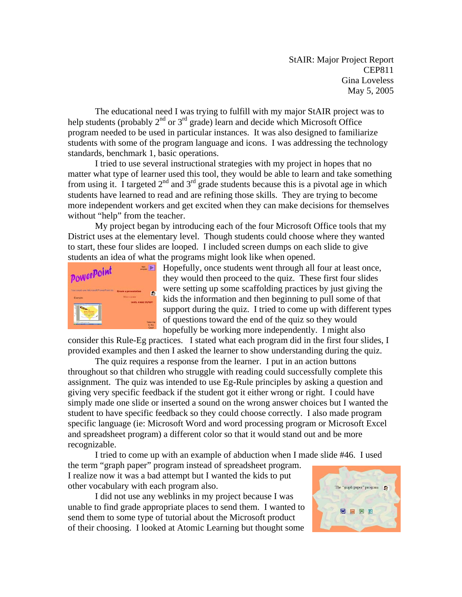StAIR: Major Project Report CEP811 Gina Loveless May 5, 2005

The educational need I was trying to fulfill with my major StAIR project was to help students (probably  $2^{nd}$  or  $3^{rd}$  grade) learn and decide which Microsoft Office program needed to be used in particular instances. It was also designed to familiarize students with some of the program language and icons. I was addressing the technology standards, benchmark 1, basic operations.

 I tried to use several instructional strategies with my project in hopes that no matter what type of learner used this tool, they would be able to learn and take something from using it. I targeted  $2<sup>nd</sup>$  and  $3<sup>rd</sup>$  grade students because this is a pivotal age in which students have learned to read and are refining those skills. They are trying to become more independent workers and get excited when they can make decisions for themselves without "help" from the teacher.

 My project began by introducing each of the four Microsoft Office tools that my District uses at the elementary level. Though students could choose where they wanted to start, these four slides are looped. I included screen dumps on each slide to give students an idea of what the programs might look like when opened.



 $\blacksquare$  Hopefully, once students went through all four at least once, they would then proceed to the quiz. These first four slides were setting up some scaffolding practices by just giving the kids the information and then beginning to pull some of that support during the quiz. I tried to come up with different types of questions toward the end of the quiz so they would hopefully be working more independently. I might also

consider this Rule-Eg practices. I stated what each program did in the first four slides , I provided examples and then I asked the learner to show understanding during t he quiz.

The quiz requires a response from the learner. I put in an action buttons throughout so that children who struggle with reading could successfully complete this assignment. The quiz was intended to use Eg-Rule principles by asking a question and giving very specific feedback if the student got it either wrong or right. I could have simply made one slide or inserted a sound on the wrong answer choices but I wanted the student to have specific feedback so they could choose correctly. I also made program specific language (ie: Microsoft Word and word processing program or Microsoft Excel and spreadsheet program) a different color so that it would stand out and be more recognizable.

I tried to come up with an example of abduction when I made slide #46. I used

the term "graph paper" program instead of spreadsheet program. I realize now it was a bad attempt but I wanted the kids to put other vocabulary with each program also.

 I did not use any weblinks in my project because I was unable to find grade appropriate places to send them. I wanted to send them to some type of tutorial about the Microsoft product of their choosing. I looked at Atomic Learning but thought some